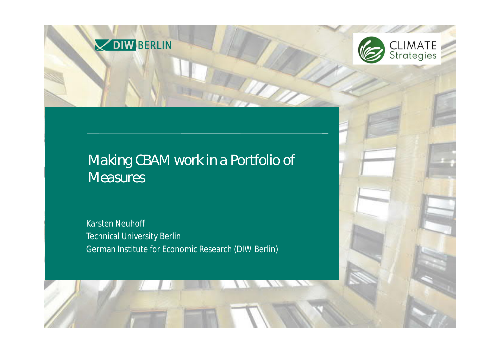

## *Making CBAM work in a Portfolio of Measures*

OIW BERLIN

Karsten Neuhoff Technical University Berlin German Institute for Economic Research (DIW Berlin)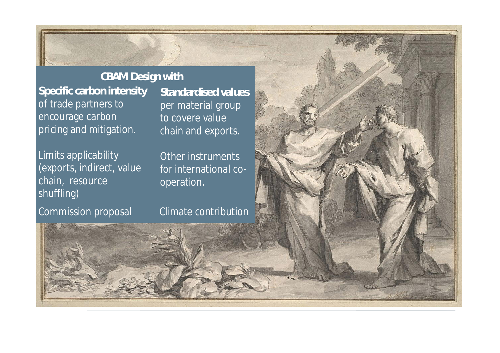**Specific carbon intensity** of trade partners to encourage carbon pricing and mitigation. **CBAM Design with**

Limits applicability (exports, indirect, value chain, resource shuffling)

Commission proposal Climate contribution

**Standardised values** per material group to covere value chain and exports.

 $E = \frac{1}{2}$ 

Other instruments for international cooperation.

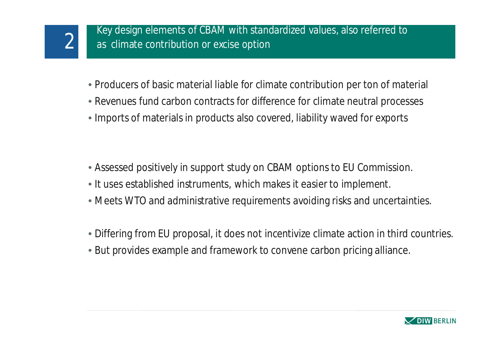- Producers of basic material liable for climate contribution per ton of material
- Revenues fund carbon contracts for difference for climate neutral processes
- Imports of materials in products also covered, liability waved for exports

- Assessed positively in support study on CBAM options to EU Commission.
- It uses established instruments, which makes it easier to implement.
- Meets WTO and administrative requirements avoiding risks and uncertainties.
- Differing from EU proposal, it does not incentivize climate action in third countries.
- But provides example and framework to convene carbon pricing alliance.

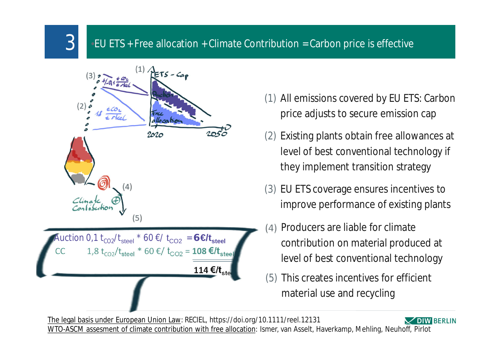## $3$   $\blacksquare$  EU ETS + Free allocation + Climate Contribution = Carbon price is effective



- (1) All emissions covered by EU ETS: Carbon price adjusts to secure emission cap
- (2) Existing plants obtain free allowances at level of best conventional technology if they implement transition strategy
- (3) EU ETS coverage ensures incentives to improve performance of existing plants
- (4) Producers are liable for climate contribution on material produced at level of best conventional technology
- (5) This creates incentives for efficient material use and recycling

The legal basis under European Union Law: RECIEL, https://doi.org/10.1111/reel.12131 **IW BERLIN** WTO-ASCM assesment of climate contribution with free allocation: Ismer, van Asselt, Haverkamp, Mehling, Neuhoff, Pirlot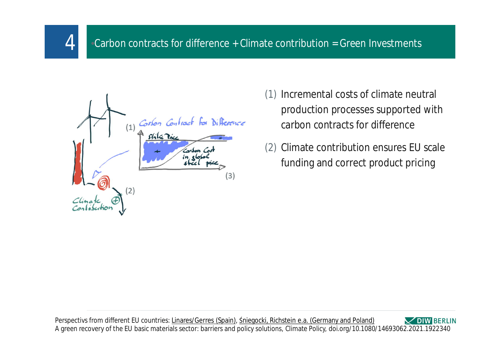



4

- (1) Incremental costs of climate neutral production processes supported with carbon contracts for difference
- (2) Climate contribution ensures EU scale funding and correct product pricing

Perspectivs from different EU countries: Linares/Gerres (Spain), Śniegocki, Richstein e.a. (Germany and Poland) **DIW BERLIN** A green recovery of the EU basic materials sector: barriers and policy solutions, Climate Policy, doi.org/10.1080/14693062.2021.1922340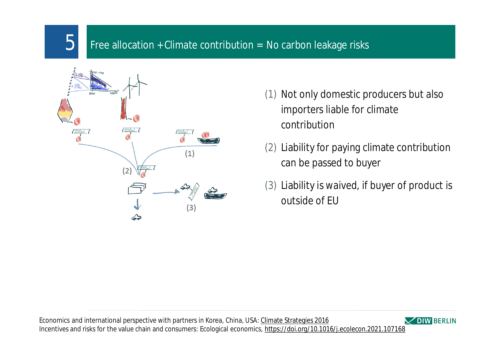## Free allocation + Climate contribution = No carbon leakage risks



5

- (1) Not only domestic producers but also importers liable for climate contribution
- (2) Liability for paying climate contribution can be passed to buyer
- (3) Liability is waived, if buyer of product is outside of EU